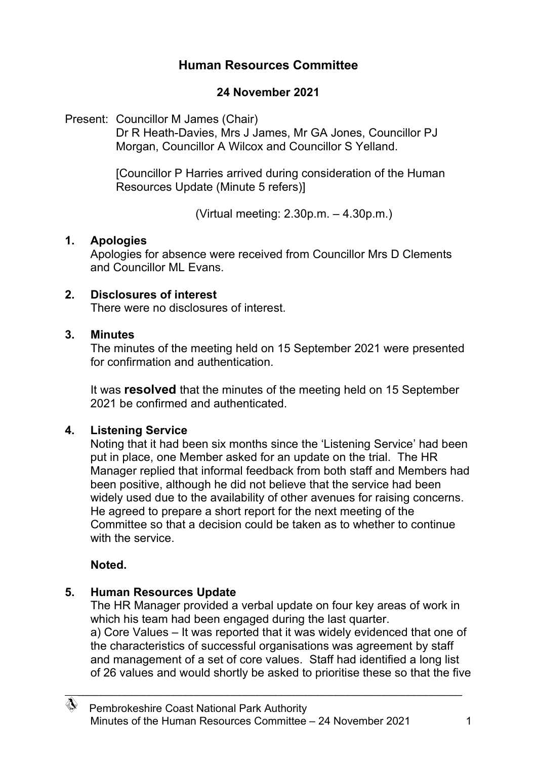# **Human Resources Committee**

### **24 November 2021**

Present: Councillor M James (Chair)

Dr R Heath-Davies, Mrs J James, Mr GA Jones, Councillor PJ Morgan, Councillor A Wilcox and Councillor S Yelland.

[Councillor P Harries arrived during consideration of the Human Resources Update (Minute 5 refers)]

(Virtual meeting: 2.30p.m. – 4.30p.m.)

### **1. Apologies**

Apologies for absence were received from Councillor Mrs D Clements and Councillor ML Evans.

#### **2. Disclosures of interest**

There were no disclosures of interest.

#### **3. Minutes**

The minutes of the meeting held on 15 September 2021 were presented for confirmation and authentication.

It was **resolved** that the minutes of the meeting held on 15 September 2021 be confirmed and authenticated.

### **4. Listening Service**

Noting that it had been six months since the 'Listening Service' had been put in place, one Member asked for an update on the trial. The HR Manager replied that informal feedback from both staff and Members had been positive, although he did not believe that the service had been widely used due to the availability of other avenues for raising concerns. He agreed to prepare a short report for the next meeting of the Committee so that a decision could be taken as to whether to continue with the service.

### **Noted.**

### **5. Human Resources Update**

The HR Manager provided a verbal update on four key areas of work in which his team had been engaged during the last quarter. a) Core Values – It was reported that it was widely evidenced that one of the characteristics of successful organisations was agreement by staff and management of a set of core values. Staff had identified a long list of 26 values and would shortly be asked to prioritise these so that the five

\_\_\_\_\_\_\_\_\_\_\_\_\_\_\_\_\_\_\_\_\_\_\_\_\_\_\_\_\_\_\_\_\_\_\_\_\_\_\_\_\_\_\_\_\_\_\_\_\_\_\_\_\_\_\_\_\_\_\_\_\_\_\_\_\_\_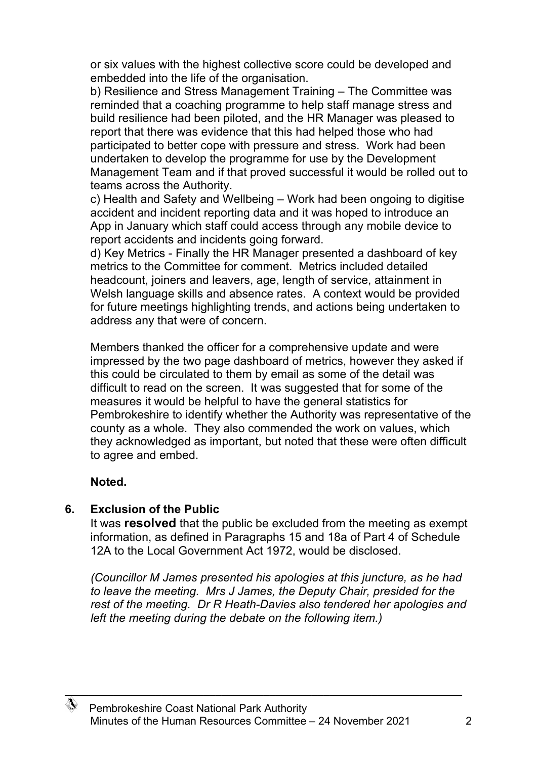or six values with the highest collective score could be developed and embedded into the life of the organisation.

b) Resilience and Stress Management Training – The Committee was reminded that a coaching programme to help staff manage stress and build resilience had been piloted, and the HR Manager was pleased to report that there was evidence that this had helped those who had participated to better cope with pressure and stress. Work had been undertaken to develop the programme for use by the Development Management Team and if that proved successful it would be rolled out to teams across the Authority.

c) Health and Safety and Wellbeing – Work had been ongoing to digitise accident and incident reporting data and it was hoped to introduce an App in January which staff could access through any mobile device to report accidents and incidents going forward.

d) Key Metrics - Finally the HR Manager presented a dashboard of key metrics to the Committee for comment. Metrics included detailed headcount, joiners and leavers, age, length of service, attainment in Welsh language skills and absence rates. A context would be provided for future meetings highlighting trends, and actions being undertaken to address any that were of concern.

Members thanked the officer for a comprehensive update and were impressed by the two page dashboard of metrics, however they asked if this could be circulated to them by email as some of the detail was difficult to read on the screen. It was suggested that for some of the measures it would be helpful to have the general statistics for Pembrokeshire to identify whether the Authority was representative of the county as a whole. They also commended the work on values, which they acknowledged as important, but noted that these were often difficult to agree and embed.

### **Noted.**

# **6. Exclusion of the Public**

It was **resolved** that the public be excluded from the meeting as exempt information, as defined in Paragraphs 15 and 18a of Part 4 of Schedule 12A to the Local Government Act 1972, would be disclosed.

*(Councillor M James presented his apologies at this juncture, as he had to leave the meeting. Mrs J James, the Deputy Chair, presided for the rest of the meeting. Dr R Heath-Davies also tendered her apologies and left the meeting during the debate on the following item.)*

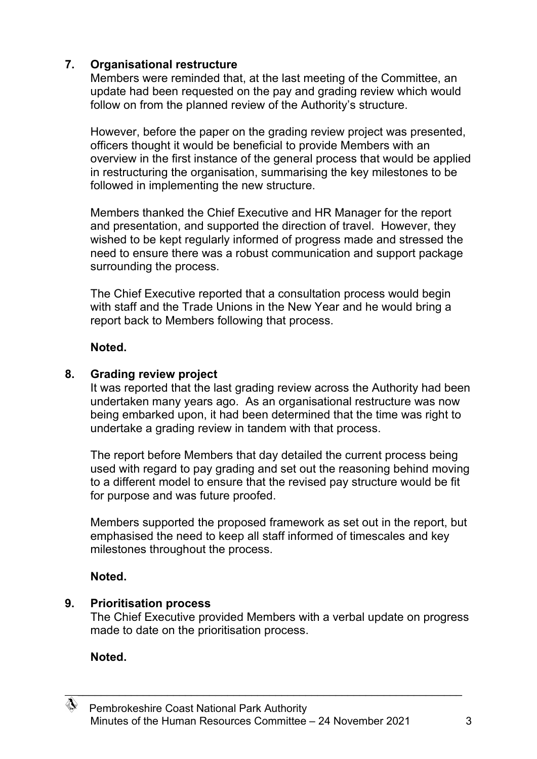# **7. Organisational restructure**

Members were reminded that, at the last meeting of the Committee, an update had been requested on the pay and grading review which would follow on from the planned review of the Authority's structure.

However, before the paper on the grading review project was presented, officers thought it would be beneficial to provide Members with an overview in the first instance of the general process that would be applied in restructuring the organisation, summarising the key milestones to be followed in implementing the new structure.

Members thanked the Chief Executive and HR Manager for the report and presentation, and supported the direction of travel. However, they wished to be kept regularly informed of progress made and stressed the need to ensure there was a robust communication and support package surrounding the process.

The Chief Executive reported that a consultation process would begin with staff and the Trade Unions in the New Year and he would bring a report back to Members following that process.

### **Noted.**

### **8. Grading review project**

It was reported that the last grading review across the Authority had been undertaken many years ago. As an organisational restructure was now being embarked upon, it had been determined that the time was right to undertake a grading review in tandem with that process.

The report before Members that day detailed the current process being used with regard to pay grading and set out the reasoning behind moving to a different model to ensure that the revised pay structure would be fit for purpose and was future proofed.

Members supported the proposed framework as set out in the report, but emphasised the need to keep all staff informed of timescales and key milestones throughout the process.

# **Noted.**

### **9. Prioritisation process**

The Chief Executive provided Members with a verbal update on progress made to date on the prioritisation process.

# **Noted.**



\_\_\_\_\_\_\_\_\_\_\_\_\_\_\_\_\_\_\_\_\_\_\_\_\_\_\_\_\_\_\_\_\_\_\_\_\_\_\_\_\_\_\_\_\_\_\_\_\_\_\_\_\_\_\_\_\_\_\_\_\_\_\_\_\_\_